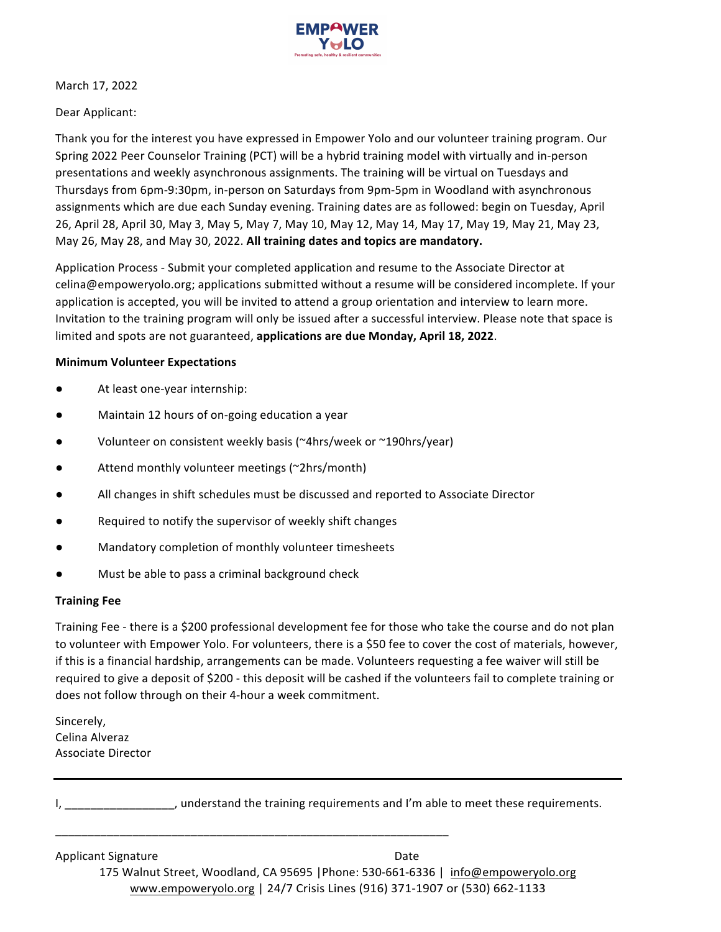

March 17, 2022

### Dear Applicant:

Thank you for the interest you have expressed in Empower Yolo and our volunteer training program. Our Spring 2022 Peer Counselor Training (PCT) will be a hybrid training model with virtually and in-person presentations and weekly asynchronous assignments. The training will be virtual on Tuesdays and Thursdays from 6pm-9:30pm, in-person on Saturdays from 9pm-5pm in Woodland with asynchronous assignments which are due each Sunday evening. Training dates are as followed: begin on Tuesday, April 26, April 28, April 30, May 3, May 5, May 7, May 10, May 12, May 14, May 17, May 19, May 21, May 23, May 26, May 28, and May 30, 2022. All training dates and topics are mandatory.

Application Process - Submit your completed application and resume to the Associate Director at celina@empoweryolo.org; applications submitted without a resume will be considered incomplete. If your application is accepted, you will be invited to attend a group orientation and interview to learn more. Invitation to the training program will only be issued after a successful interview. Please note that space is limited and spots are not guaranteed, applications are due Monday, April 18, 2022.

#### **Minimum Volunteer Expectations**

- At least one-year internship:
- Maintain 12 hours of on-going education a year
- Volunteer on consistent weekly basis (~4hrs/week or ~190hrs/year)

\_\_\_\_\_\_\_\_\_\_\_\_\_\_\_\_\_\_\_\_\_\_\_\_\_\_\_\_\_\_\_\_\_\_\_\_\_\_\_\_\_\_\_\_\_\_\_\_\_\_\_\_\_\_\_\_\_\_\_\_\_ 

- Attend monthly volunteer meetings (~2hrs/month)
- All changes in shift schedules must be discussed and reported to Associate Director
- Required to notify the supervisor of weekly shift changes
- Mandatory completion of monthly volunteer timesheets
- Must be able to pass a criminal background check

#### **Training Fee**

Training Fee - there is a \$200 professional development fee for those who take the course and do not plan to volunteer with Empower Yolo. For volunteers, there is a \$50 fee to cover the cost of materials, however, if this is a financial hardship, arrangements can be made. Volunteers requesting a fee waiver will still be required to give a deposit of \$200 - this deposit will be cashed if the volunteers fail to complete training or does not follow through on their 4-hour a week commitment.

Sincerely, Celina Alveraz Associate Director

, understand the training requirements and I'm able to meet these requirements.

### Applicant Signature Date

175 Walnut Street, Woodland, CA 95695 | Phone: 530-661-6336 | info@empoweryolo.org www.empoweryolo.org | 24/7 Crisis Lines (916) 371-1907 or (530) 662-1133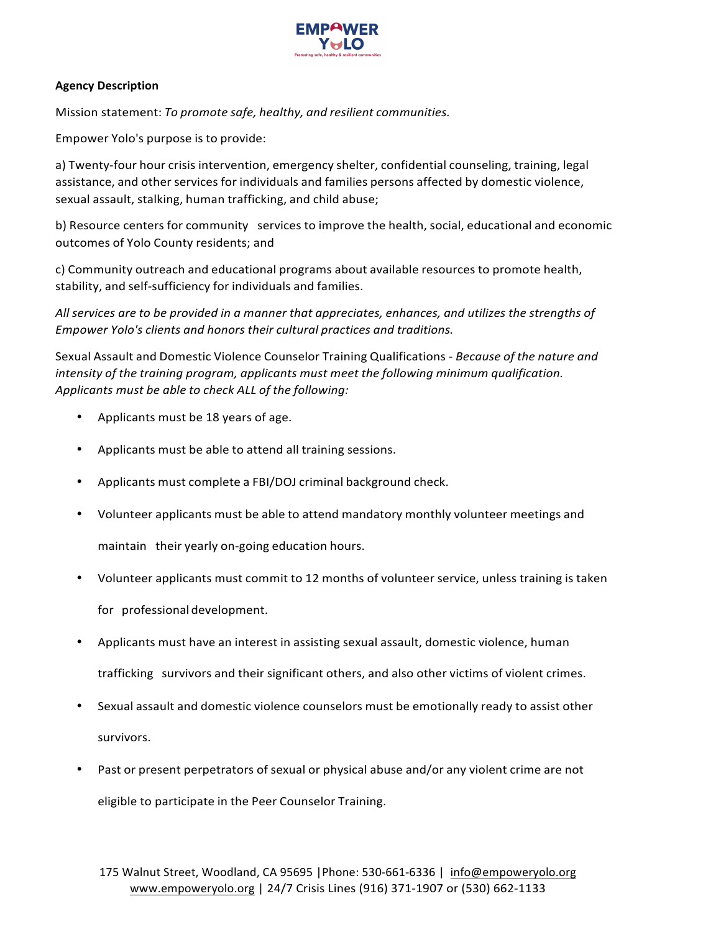

## **Agency Description**

Mission statement: *To promote safe, healthy, and resilient communities.*

Empower Yolo's purpose is to provide:

a) Twenty-four hour crisis intervention, emergency shelter, confidential counseling, training, legal assistance, and other services for individuals and families persons affected by domestic violence, sexual assault, stalking, human trafficking, and child abuse;

b) Resource centers for community services to improve the health, social, educational and economic outcomes of Yolo County residents; and

c) Community outreach and educational programs about available resources to promote health, stability, and self-sufficiency for individuals and families.

*All services are to be provided in a manner that appreciates, enhances, and utilizes the strengths of Empower Yolo's clients and honors their cultural practices and traditions.*

Sexual Assault and Domestic Violence Counselor Training Qualifications - *Because of the nature and intensity of the training program, applicants must meet the following minimum qualification. Applicants must be able to check ALL of the following:*

- Applicants must be 18 years of age.
- Applicants must be able to attend all training sessions.
- Applicants must complete a FBI/DOJ criminal background check.
- Volunteer applicants must be able to attend mandatory monthly volunteer meetings and

maintain their yearly on-going education hours.

• Volunteer applicants must commit to 12 months of volunteer service, unless training is taken

for professional development.

- Applicants must have an interest in assisting sexual assault, domestic violence, human trafficking survivors and their significant others, and also other victims of violent crimes.
- Sexual assault and domestic violence counselors must be emotionally ready to assist other survivors.
- Past or present perpetrators of sexual or physical abuse and/or any violent crime are not eligible to participate in the Peer Counselor Training.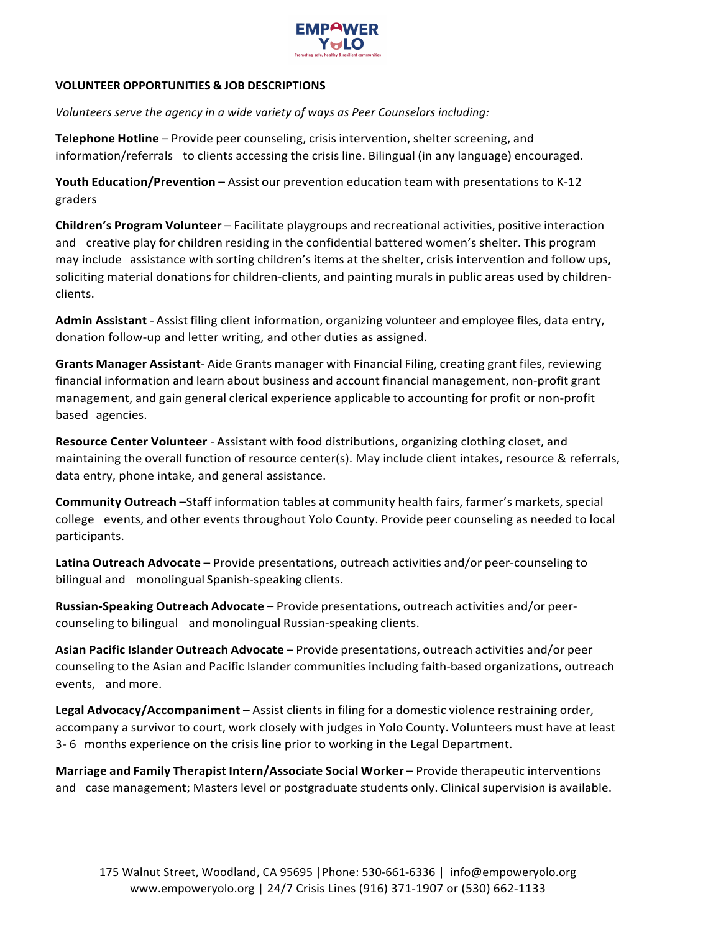

#### **VOLUNTEER OPPORTUNITIES & JOB DESCRIPTIONS**

*Volunteers serve the agency in a wide variety of ways as Peer Counselors including:*

**Telephone Hotline** – Provide peer counseling, crisis intervention, shelter screening, and information/referrals to clients accessing the crisis line. Bilingual (in any language) encouraged.

**Youth Education/Prevention** – Assist our prevention education team with presentations to K-12 graders

**Children's Program Volunteer** – Facilitate playgroups and recreational activities, positive interaction and creative play for children residing in the confidential battered women's shelter. This program may include assistance with sorting children's items at the shelter, crisis intervention and follow ups, soliciting material donations for children-clients, and painting murals in public areas used by childrenclients.

Admin Assistant - Assist filing client information, organizing volunteer and employee files, data entry, donation follow-up and letter writing, and other duties as assigned.

**Grants Manager Assistant**- Aide Grants manager with Financial Filing, creating grant files, reviewing financial information and learn about business and account financial management, non-profit grant management, and gain general clerical experience applicable to accounting for profit or non-profit based agencies.

**Resource Center Volunteer** - Assistant with food distributions, organizing clothing closet, and maintaining the overall function of resource center(s). May include client intakes, resource & referrals, data entry, phone intake, and general assistance.

**Community Outreach** –Staff information tables at community health fairs, farmer's markets, special college events, and other events throughout Yolo County. Provide peer counseling as needed to local participants.

**Latina Outreach Advocate** – Provide presentations, outreach activities and/or peer-counseling to bilingual and monolingual Spanish-speaking clients.

**Russian-Speaking Outreach Advocate** – Provide presentations, outreach activities and/or peercounseling to bilingual and monolingual Russian-speaking clients.

**Asian Pacific Islander Outreach Advocate** – Provide presentations, outreach activities and/or peer counseling to the Asian and Pacific Islander communities including faith-based organizations, outreach events, and more.

**Legal Advocacy/Accompaniment** – Assist clients in filing for a domestic violence restraining order, accompany a survivor to court, work closely with judges in Yolo County. Volunteers must have at least 3- 6 months experience on the crisis line prior to working in the Legal Department.

**Marriage and Family Therapist Intern/Associate Social Worker** – Provide therapeutic interventions and case management; Masters level or postgraduate students only. Clinical supervision is available.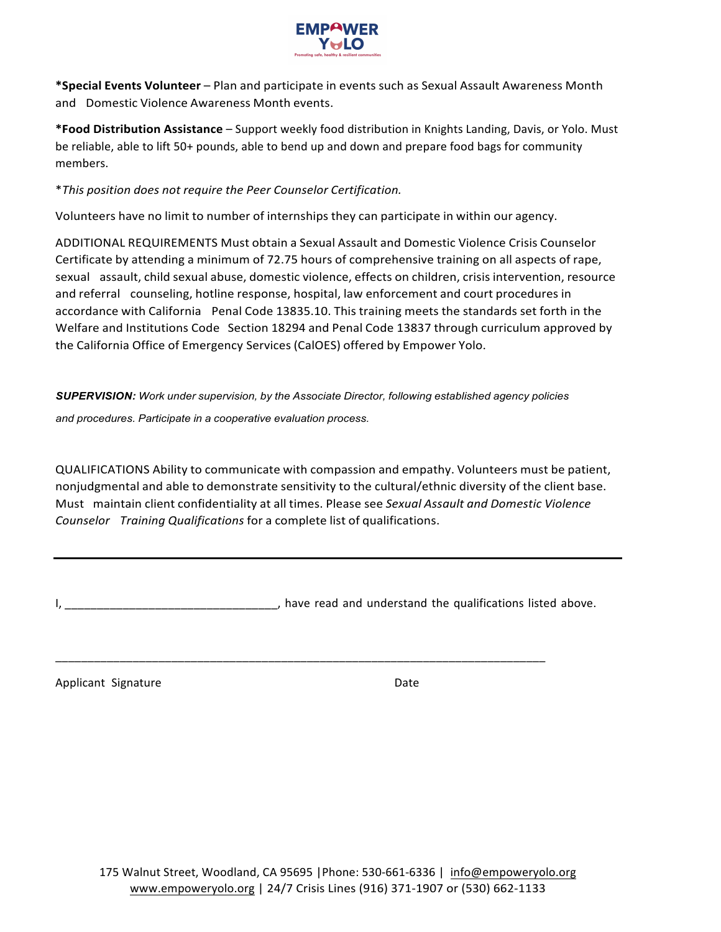

**\*Special Events Volunteer** – Plan and participate in events such as Sexual Assault Awareness Month and Domestic Violence Awareness Month events.

\*Food Distribution Assistance – Support weekly food distribution in Knights Landing, Davis, or Yolo. Must be reliable, able to lift 50+ pounds, able to bend up and down and prepare food bags for community members. 

\**This position does not require the Peer Counselor Certification.*

Volunteers have no limit to number of internships they can participate in within our agency.

ADDITIONAL REQUIREMENTS Must obtain a Sexual Assault and Domestic Violence Crisis Counselor Certificate by attending a minimum of 72.75 hours of comprehensive training on all aspects of rape, sexual assault, child sexual abuse, domestic violence, effects on children, crisis intervention, resource and referral counseling, hotline response, hospital, law enforcement and court procedures in accordance with California Penal Code 13835.10. This training meets the standards set forth in the Welfare and Institutions Code Section 18294 and Penal Code 13837 through curriculum approved by the California Office of Emergency Services (CalOES) offered by Empower Yolo.

*SUPERVISION: Work under supervision, by the Associate Director, following established agency policies and procedures. Participate in a cooperative evaluation process.*

QUALIFICATIONS Ability to communicate with compassion and empathy. Volunteers must be patient, nonjudgmental and able to demonstrate sensitivity to the cultural/ethnic diversity of the client base. Must maintain client confidentiality at all times. Please see *Sexual Assault and Domestic Violence Counselor Training Qualifications* for a complete list of qualifications.

I, thave read and understand the qualifications listed above.

\_\_\_\_\_\_\_\_\_\_\_\_\_\_\_\_\_\_\_\_\_\_\_\_\_\_\_\_\_\_\_\_\_\_\_\_\_\_\_\_\_\_\_\_\_\_\_\_\_\_\_\_\_\_\_\_\_\_\_\_\_\_\_\_\_\_\_\_\_\_\_\_\_\_\_\_

Applicant Signature Date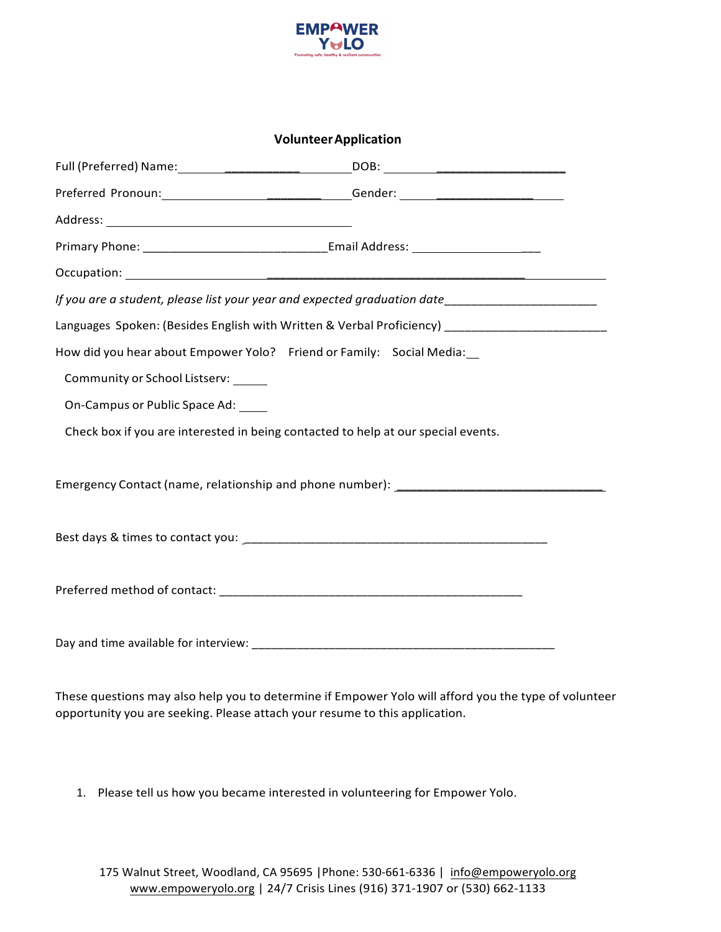

# **VolunteerApplication**

| Preferred Pronoun: _______________________________Gender: ______________________                                 |  |  |  |
|------------------------------------------------------------------------------------------------------------------|--|--|--|
|                                                                                                                  |  |  |  |
|                                                                                                                  |  |  |  |
|                                                                                                                  |  |  |  |
| If you are a student, please list your year and expected graduation date___________________________              |  |  |  |
| Languages Spoken: (Besides English with Written & Verbal Proficiency) ____________________________               |  |  |  |
| How did you hear about Empower Yolo? Friend or Family: Social Media:                                             |  |  |  |
| Community or School Listserv: _____                                                                              |  |  |  |
| On-Campus or Public Space Ad:                                                                                    |  |  |  |
| Check box if you are interested in being contacted to help at our special events.                                |  |  |  |
|                                                                                                                  |  |  |  |
| Emergency Contact (name, relationship and phone number): entitled and phone numbers of the set of the set of the |  |  |  |
|                                                                                                                  |  |  |  |
|                                                                                                                  |  |  |  |
|                                                                                                                  |  |  |  |
|                                                                                                                  |  |  |  |
|                                                                                                                  |  |  |  |
|                                                                                                                  |  |  |  |

These questions may also help you to determine if Empower Yolo will afford you the type of volunteer opportunity you are seeking. Please attach your resume to this application.

1. Please tell us how you became interested in volunteering for Empower Yolo.

175 Walnut Street, Woodland, CA 95695 | Phone: 530-661-6336 | info@empoweryolo.org www.empoweryolo.org | 24/7 Crisis Lines (916) 371-1907 or (530) 662-1133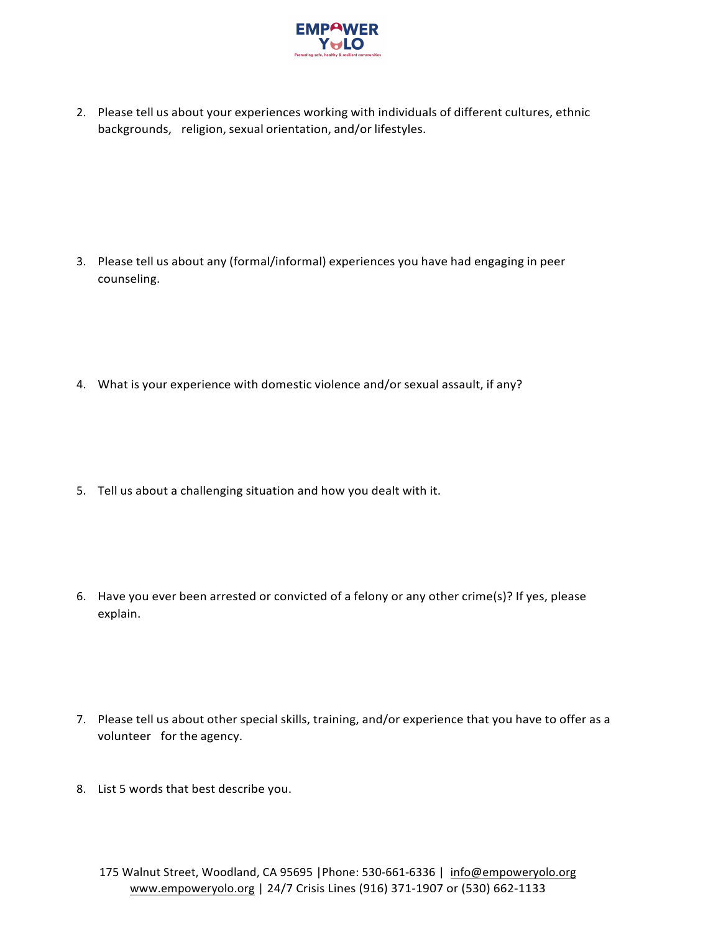

2. Please tell us about your experiences working with individuals of different cultures, ethnic backgrounds, religion, sexual orientation, and/or lifestyles.

- 3. Please tell us about any (formal/informal) experiences you have had engaging in peer counseling.
- 4. What is your experience with domestic violence and/or sexual assault, if any?
- 5. Tell us about a challenging situation and how you dealt with it.
- 6. Have you ever been arrested or convicted of a felony or any other crime(s)? If yes, please explain.
- 7. Please tell us about other special skills, training, and/or experience that you have to offer as a volunteer for the agency.
- 8. List 5 words that best describe you.

175 Walnut Street, Woodland, CA 95695 | Phone: 530-661-6336 | info@empoweryolo.org www.empoweryolo.org | 24/7 Crisis Lines (916) 371-1907 or (530) 662-1133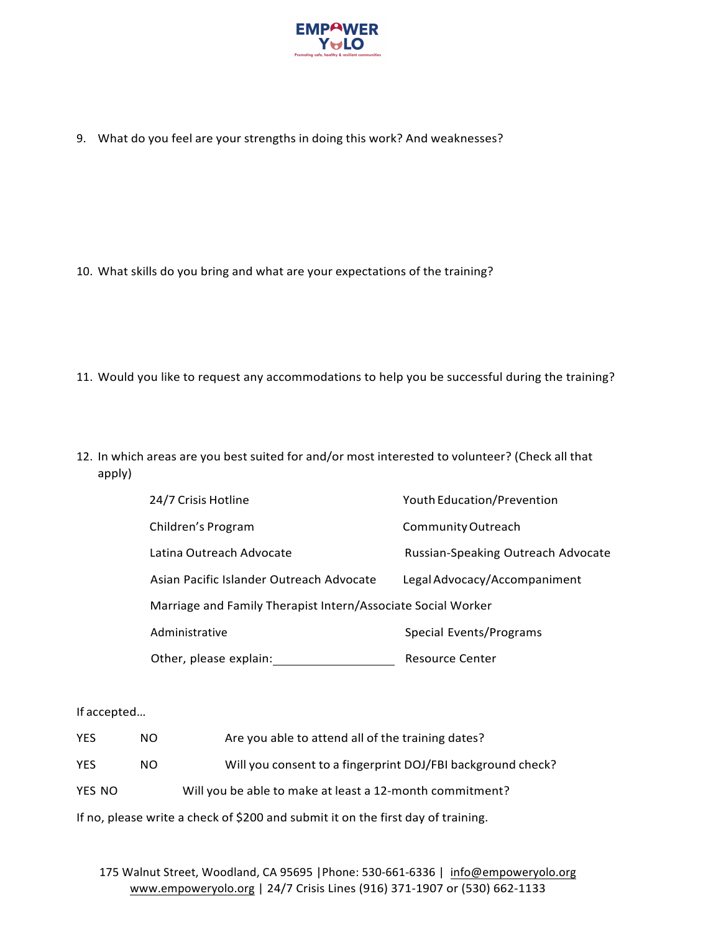

9. What do you feel are your strengths in doing this work? And weaknesses?

- 10. What skills do you bring and what are your expectations of the training?
- 11. Would you like to request any accommodations to help you be successful during the training?
- 12. In which areas are you best suited for and/or most interested to volunteer? (Check all that apply)

| 24/7 Crisis Hotline                                          | <b>Youth Education/Prevention</b>  |  |
|--------------------------------------------------------------|------------------------------------|--|
| Children's Program                                           | Community Outreach                 |  |
| Latina Outreach Advocate                                     | Russian-Speaking Outreach Advocate |  |
| Asian Pacific Islander Outreach Advocate                     | Legal Advocacy/Accompaniment       |  |
| Marriage and Family Therapist Intern/Associate Social Worker |                                    |  |
| Administrative                                               | Special Events/Programs            |  |
| Other, please explain:                                       | <b>Resource Center</b>             |  |

If accepted…

| <b>YES</b>                                                                       | NO. | Are you able to attend all of the training dates?           |
|----------------------------------------------------------------------------------|-----|-------------------------------------------------------------|
| <b>YES</b>                                                                       | NO. | Will you consent to a fingerprint DOJ/FBI background check? |
| YES NO                                                                           |     | Will you be able to make at least a 12-month commitment?    |
| If no, please write a check of \$200 and submit it on the first day of training. |     |                                                             |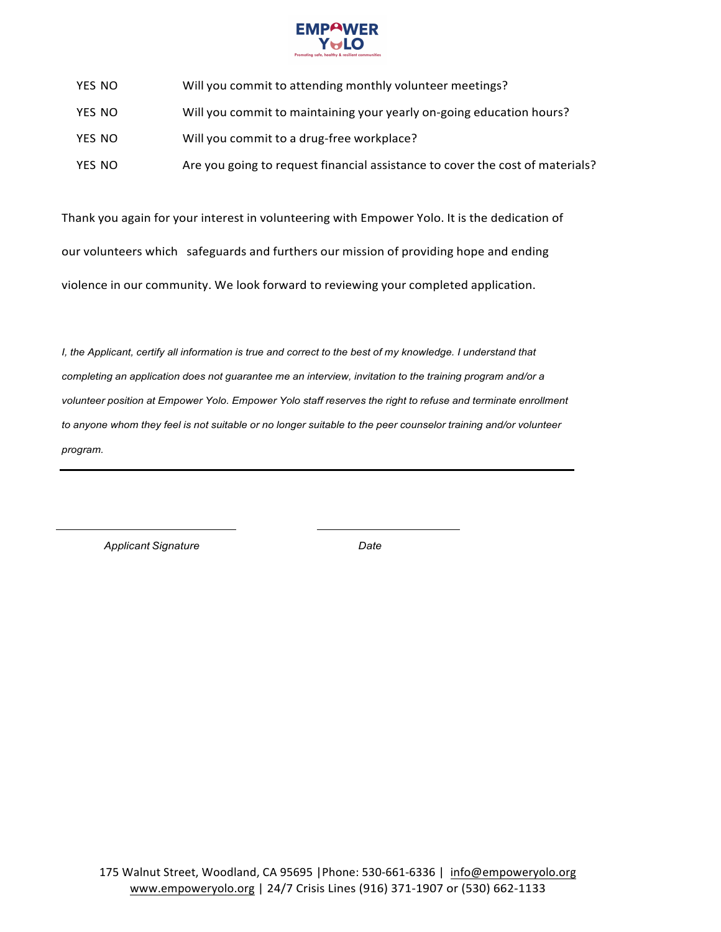

| YES NO | Will you commit to attending monthly volunteer meetings? |
|--------|----------------------------------------------------------|
|        |                                                          |

- YES NO Will you commit to maintaining your yearly on-going education hours?
- YES NO Will you commit to a drug-free workplace?
- YES NO Are you going to request financial assistance to cover the cost of materials?

Thank you again for your interest in volunteering with Empower Yolo. It is the dedication of

our volunteers which safeguards and furthers our mission of providing hope and ending

violence in our community. We look forward to reviewing your completed application.

I, the Applicant, certify all information is true and correct to the best of my knowledge. I understand that *completing an application does not guarantee me an interview, invitation to the training program and/or a volunteer position at Empower Yolo. Empower Yolo staff reserves the right to refuse and terminate enrollment* to anyone whom they feel is not suitable or no longer suitable to the peer counselor training and/or volunteer *program.*

*Applicant Signature Date*